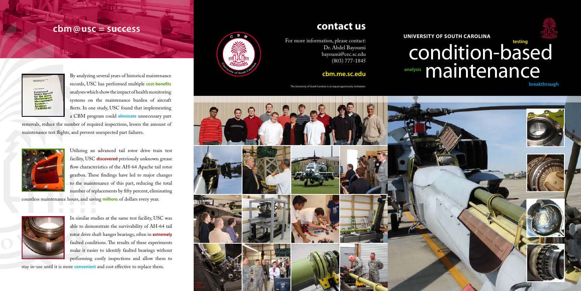# **cbm@usc = success**



In similar studies at the same test facility, USC was able to demonstrate the survivability of AH-64 tail rotor drive shaft hanger bearings, often in **extremely** faulted conditions. The results of these experiments make it easier to identify faulted bearings without performing costly inspections and allow them to

stay in-use until it is more **convenient** and cost effective to replace them.



By analyzing several years of historical maintenance records, USC has performed multiple **cost-benefits** analyses which show the impact of health monitoring systems on the maintenance burden of aircraft fleets. In one study, USC found that implementing a CBM program could **eliminate** unnecessary part

# condition-based cbm.me.sc.edu **analysis** mailvisi maintenance **analysis**

removals, reduce the number of required inspections, lessen the amount of maintenance test flights, and prevent unexpected part failures.



Utilizing an advanced tail rotor drive train test facility, USC **discovered** previously unknown grease flow characteristics of the AH-64 Apache tail rotor gearbox. These findings have led to major changes to the maintenance of this part, reducing the total number of replacements by fifty percent, eliminating

countless maintenance hours, and saving **millions** of dollars every year.



For more information, please contact: Dr. Abdel Bayoumi bayoumi@cec.sc.edu (803) 777-1845

The University of South Carolina is an equal opportunity institution.





**University of South Carolina**

# **contact us**

**breakthrough**